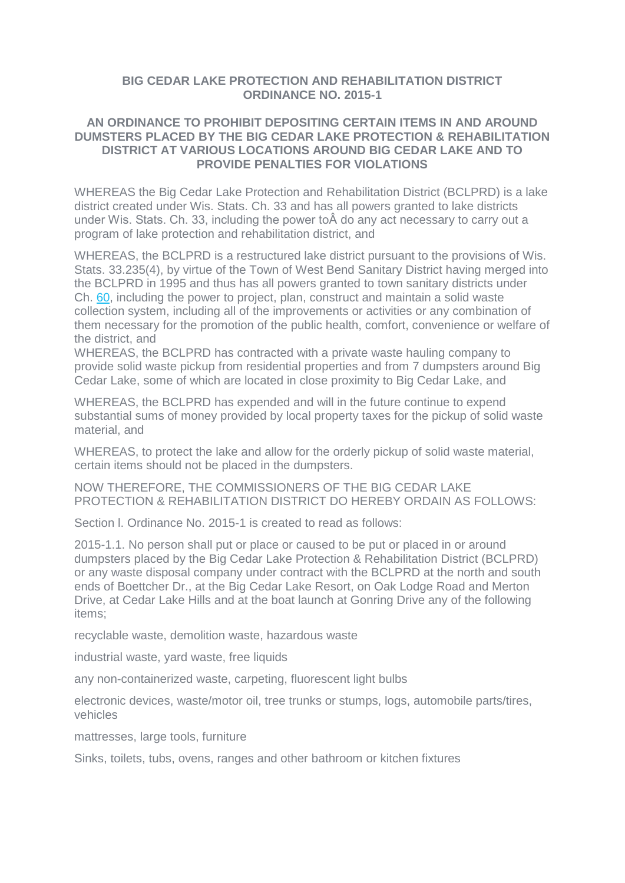## **BIG CEDAR LAKE PROTECTION AND REHABILITATION DISTRICT ORDINANCE NO. 2015-1**

## **AN ORDINANCE TO PROHIBIT DEPOSITING CERTAIN ITEMS IN AND AROUND DUMSTERS PLACED BY THE BIG CEDAR LAKE PROTECTION & REHABILITATION DISTRICT AT VARIOUS LOCATIONS AROUND BIG CEDAR LAKE AND TO PROVIDE PENALTIES FOR VIOLATIONS**

WHEREAS the Big Cedar Lake Protection and Rehabilitation District (BCLPRD) is a lake district created under Wis. Stats. Ch. 33 and has all powers granted to lake districts under Wis. Stats. Ch. 33, including the power toÂ do any act necessary to carry out a program of lake protection and rehabilitation district, and

WHEREAS, the BCLPRD is a restructured lake district pursuant to the provisions of Wis. Stats. 33.235(4), by virtue of the Town of West Bend Sanitary District having merged into the BCLPRD in 1995 and thus has all powers granted to town sanitary districts under Ch. [60,](http://docs.legis.wisconsin.gov/document/statutes/ch.%2060) including the power to project, plan, construct and maintain a solid waste collection system, including all of the improvements or activities or any combination of them necessary for the promotion of the public health, comfort, convenience or welfare of the district, and

WHEREAS, the BCLPRD has contracted with a private waste hauling company to provide solid waste pickup from residential properties and from 7 dumpsters around Big Cedar Lake, some of which are located in close proximity to Big Cedar Lake, and

WHEREAS, the BCLPRD has expended and will in the future continue to expend substantial sums of money provided by local property taxes for the pickup of solid waste material, and

WHEREAS, to protect the lake and allow for the orderly pickup of solid waste material, certain items should not be placed in the dumpsters.

NOW THEREFORE, THE COMMISSIONERS OF THE BIG CEDAR LAKE PROTECTION & REHABILITATION DISTRICT DO HEREBY ORDAIN AS FOLLOWS:

Section l. Ordinance No. 2015-1 is created to read as follows:

2015-1.1. No person shall put or place or caused to be put or placed in or around dumpsters placed by the Big Cedar Lake Protection & Rehabilitation District (BCLPRD) or any waste disposal company under contract with the BCLPRD at the north and south ends of Boettcher Dr., at the Big Cedar Lake Resort, on Oak Lodge Road and Merton Drive, at Cedar Lake Hills and at the boat launch at Gonring Drive any of the following items;

recyclable waste, demolition waste, hazardous waste

industrial waste, yard waste, free liquids

any non-containerized waste, carpeting, fluorescent light bulbs

electronic devices, waste/motor oil, tree trunks or stumps, logs, automobile parts/tires, vehicles

mattresses, large tools, furniture

Sinks, toilets, tubs, ovens, ranges and other bathroom or kitchen fixtures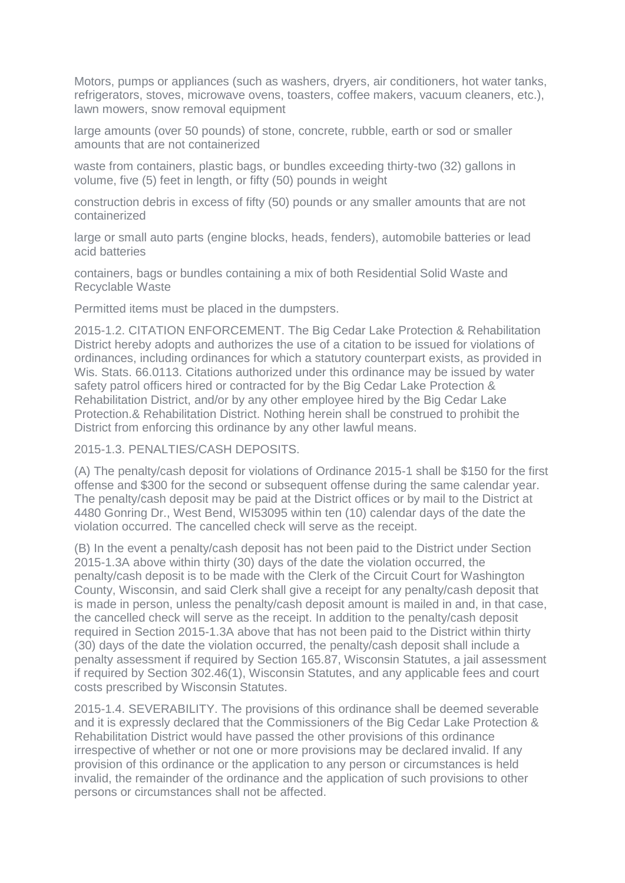Motors, pumps or appliances (such as washers, dryers, air conditioners, hot water tanks, refrigerators, stoves, microwave ovens, toasters, coffee makers, vacuum cleaners, etc.), lawn mowers, snow removal equipment

large amounts (over 50 pounds) of stone, concrete, rubble, earth or sod or smaller amounts that are not containerized

waste from containers, plastic bags, or bundles exceeding thirty-two (32) gallons in volume, five (5) feet in length, or fifty (50) pounds in weight

construction debris in excess of fifty (50) pounds or any smaller amounts that are not containerized

large or small auto parts (engine blocks, heads, fenders), automobile batteries or lead acid batteries

containers, bags or bundles containing a mix of both Residential Solid Waste and Recyclable Waste

Permitted items must be placed in the dumpsters.

2015-1.2. CITATION ENFORCEMENT. The Big Cedar Lake Protection & Rehabilitation District hereby adopts and authorizes the use of a citation to be issued for violations of ordinances, including ordinances for which a statutory counterpart exists, as provided in Wis. Stats. 66.0113. Citations authorized under this ordinance may be issued by water safety patrol officers hired or contracted for by the Big Cedar Lake Protection & Rehabilitation District, and/or by any other employee hired by the Big Cedar Lake Protection.& Rehabilitation District. Nothing herein shall be construed to prohibit the District from enforcing this ordinance by any other lawful means.

2015-1.3. PENALTIES/CASH DEPOSITS.

(A) The penalty/cash deposit for violations of Ordinance 2015-1 shall be \$150 for the first offense and \$300 for the second or subsequent offense during the same calendar year. The penalty/cash deposit may be paid at the District offices or by mail to the District at 4480 Gonring Dr., West Bend, WI53095 within ten (10) calendar days of the date the violation occurred. The cancelled check will serve as the receipt.

(B) In the event a penalty/cash deposit has not been paid to the District under Section 2015-1.3A above within thirty (30) days of the date the violation occurred, the penalty/cash deposit is to be made with the Clerk of the Circuit Court for Washington County, Wisconsin, and said Clerk shall give a receipt for any penalty/cash deposit that is made in person, unless the penalty/cash deposit amount is mailed in and, in that case, the cancelled check will serve as the receipt. In addition to the penalty/cash deposit required in Section 2015-1.3A above that has not been paid to the District within thirty (30) days of the date the violation occurred, the penalty/cash deposit shall include a penalty assessment if required by Section 165.87, Wisconsin Statutes, a jail assessment if required by Section 302.46(1), Wisconsin Statutes, and any applicable fees and court costs prescribed by Wisconsin Statutes.

2015-1.4. SEVERABILITY. The provisions of this ordinance shall be deemed severable and it is expressly declared that the Commissioners of the Big Cedar Lake Protection & Rehabilitation District would have passed the other provisions of this ordinance irrespective of whether or not one or more provisions may be declared invalid. If any provision of this ordinance or the application to any person or circumstances is held invalid, the remainder of the ordinance and the application of such provisions to other persons or circumstances shall not be affected.